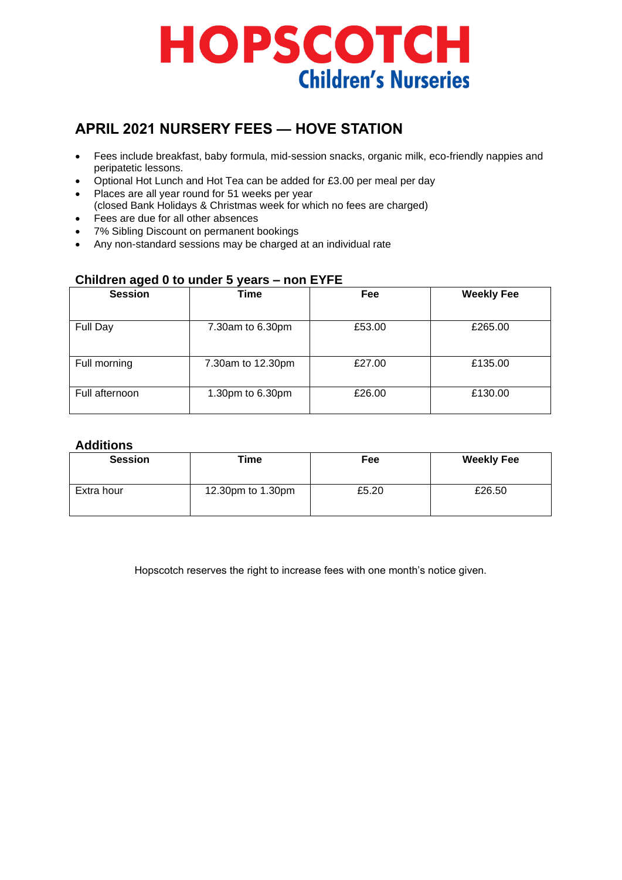# **HOPSCOTCH Children's Nurseries**

# **APRIL 2021 NURSERY FEES — HOVE STATION**

- Fees include breakfast, baby formula, mid-session snacks, organic milk, eco-friendly nappies and peripatetic lessons.
- Optional Hot Lunch and Hot Tea can be added for £3.00 per meal per day
- Places are all year round for 51 weeks per year
- (closed Bank Holidays & Christmas week for which no fees are charged) • Fees are due for all other absences
- 7% Sibling Discount on permanent bookings
- Any non-standard sessions may be charged at an individual rate

| . <u>.</u><br><b>Session</b> | <b>Time</b>       | Fee    | <b>Weekly Fee</b> |
|------------------------------|-------------------|--------|-------------------|
| Full Day                     | 7.30am to 6.30pm  | £53.00 | £265.00           |
| Full morning                 | 7.30am to 12.30pm | £27.00 | £135.00           |
| Full afternoon               | 1.30pm to 6.30pm  | £26.00 | £130.00           |

#### **Children aged 0 to under 5 years – non EYFE**

#### **Additions**

| <b>Session</b> | Time              | Fee   | <b>Weekly Fee</b> |
|----------------|-------------------|-------|-------------------|
| Extra hour     | 12.30pm to 1.30pm | £5.20 | £26.50            |

Hopscotch reserves the right to increase fees with one month's notice given.